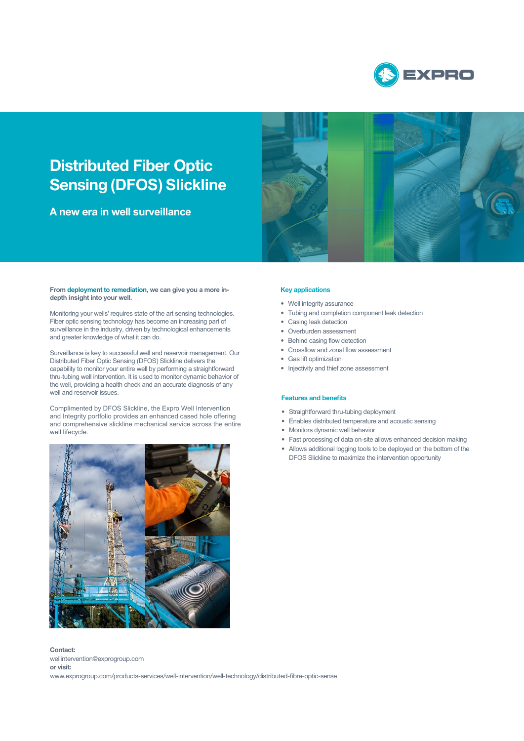

# **Distributed Fiber Optic Sensing (DFOS) Slickline**

**A new era in well surveillance**



**From deployment to remediation, we can give you a more indepth insight into your well.**

Monitoring your wells' requires state of the art sensing technologies. Fiber optic sensing technology has become an increasing part of surveillance in the industry, driven by technological enhancements and greater knowledge of what it can do.

Surveillance is key to successful well and reservoir management. Our Distributed Fiber Optic Sensing (DFOS) Slickline delivers the capability to monitor your entire well by performing a straightforward thru-tubing well intervention. It is used to monitor dynamic behavior of the well, providing a health check and an accurate diagnosis of any well and reservoir issues.

Complimented by DFOS Slickline, the Expro Well Intervention and Integrity portfolio provides an enhanced cased hole offering and comprehensive slickline mechanical service across the entire well lifecycle.



**Contact:** wellintervention@exprogroup.com **or visit:** 

www.exprogroup.com/products-services/well-intervention/well-technology/distributed-fibre-optic-sense

#### **Key applications**

- Well integrity assurance
- Tubing and completion component leak detection
- Casing leak detection
- Overburden assessment
- Behind casing flow detection
	- Crossflow and zonal flow assessment
	- Gas lift optimization
	- Injectivity and thief zone assessment

#### **Features and benefits**

- Straightforward thru-tubing deployment
- Enables distributed temperature and acoustic sensing
- Monitors dynamic well behavior
- Fast processing of data on-site allows enhanced decision making
- Allows additional logging tools to be deployed on the bottom of the DFOS Slickline to maximize the intervention opportunity